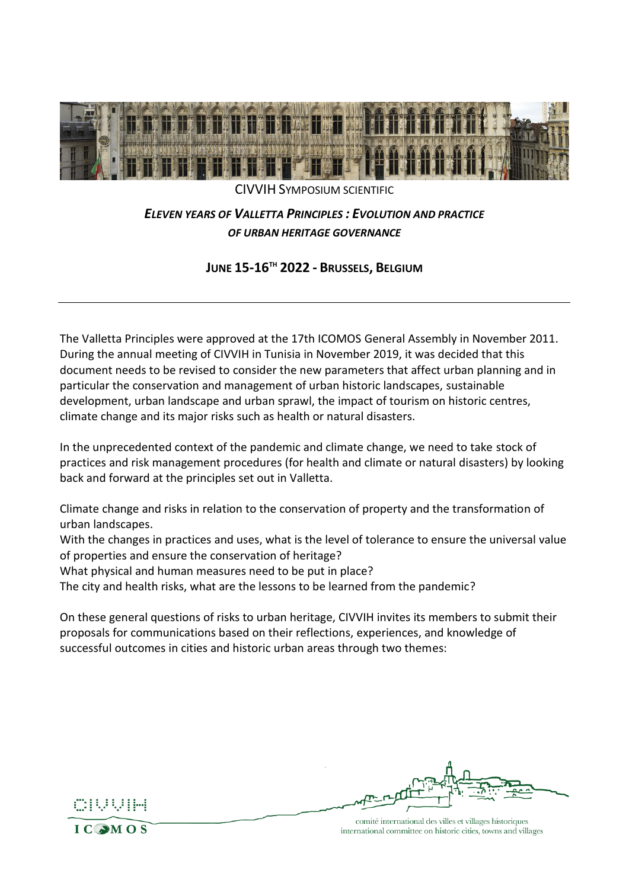

CIVVIH SYMPOSIUM SCIENTIFIC

### *ELEVEN YEARS OF VALLETTA PRINCIPLES : EVOLUTION AND PRACTICE OF URBAN HERITAGE GOVERNANCE*

**JUNE 15-16 TH 2022 - BRUSSELS, BELGIUM**

The Valletta Principles were approved at the 17th ICOMOS General Assembly in November 2011. During the annual meeting of CIVVIH in Tunisia in November 2019, it was decided that this document needs to be revised to consider the new parameters that affect urban planning and in particular the conservation and management of urban historic landscapes, sustainable development, urban landscape and urban sprawl, the impact of tourism on historic centres, climate change and its major risks such as health or natural disasters.

In the unprecedented context of the pandemic and climate change, we need to take stock of practices and risk management procedures (for health and climate or natural disasters) by looking back and forward at the principles set out in Valletta.

Climate change and risks in relation to the conservation of property and the transformation of urban landscapes.

With the changes in practices and uses, what is the level of tolerance to ensure the universal value of properties and ensure the conservation of heritage?

What physical and human measures need to be put in place?

The city and health risks, what are the lessons to be learned from the pandemic?

On these general questions of risks to urban heritage, CIVVIH invites its members to submit their proposals for communications based on their reflections, experiences, and knowledge of successful outcomes in cities and historic urban areas through two themes:



comité international des villes et villages historiques international committee on historic cities, towns and villages

 $IC<sub>3</sub>MOS$ 

cuuum